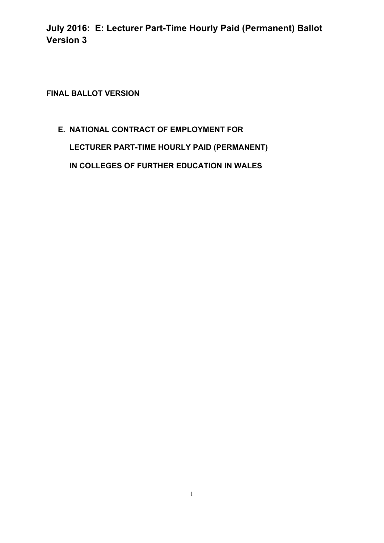**FINAL BALLOT VERSION** 

# **E. NATIONAL CONTRACT OF EMPLOYMENT FOR**

**LECTURER PART-TIME HOURLY PAID (PERMANENT)**

**IN COLLEGES OF FURTHER EDUCATION IN WALES**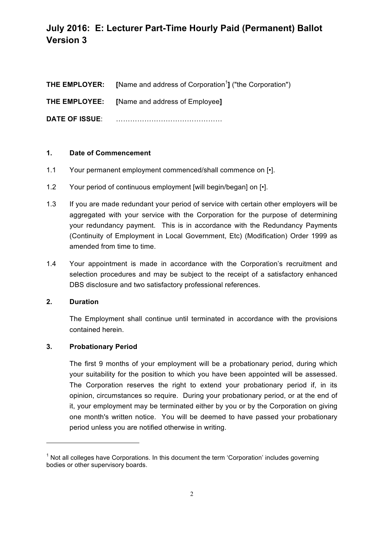|                       | <b>THE EMPLOYER:</b> [Name and address of Corporation <sup>1</sup> ] ("the Corporation") |
|-----------------------|------------------------------------------------------------------------------------------|
|                       | <b>THE EMPLOYEE:</b> [Name and address of Employee]                                      |
| <b>DATE OF ISSUE:</b> |                                                                                          |

### **1. Date of Commencement**

- 1.1 Your permanent employment commenced/shall commence on [•].
- 1.2 Your period of continuous employment [will begin/began] on  $\lceil \cdot \rceil$ .
- 1.3 If you are made redundant your period of service with certain other employers will be aggregated with your service with the Corporation for the purpose of determining your redundancy payment. This is in accordance with the Redundancy Payments (Continuity of Employment in Local Government, Etc) (Modification) Order 1999 as amended from time to time.
- 1.4 Your appointment is made in accordance with the Corporation's recruitment and selection procedures and may be subject to the receipt of a satisfactory enhanced DBS disclosure and two satisfactory professional references.

### **2. Duration**

The Employment shall continue until terminated in accordance with the provisions contained herein.

#### **3. Probationary Period**

<u> 1989 - Jan Samuel Barbara, político establecido de la provincia de la provincia de la provincia de la provinci</u>

The first 9 months of your employment will be a probationary period, during which your suitability for the position to which you have been appointed will be assessed. The Corporation reserves the right to extend your probationary period if, in its opinion, circumstances so require. During your probationary period, or at the end of it, your employment may be terminated either by you or by the Corporation on giving one month's written notice. You will be deemed to have passed your probationary period unless you are notified otherwise in writing.

 $1$  Not all colleges have Corporations. In this document the term 'Corporation' includes governing bodies or other supervisory boards.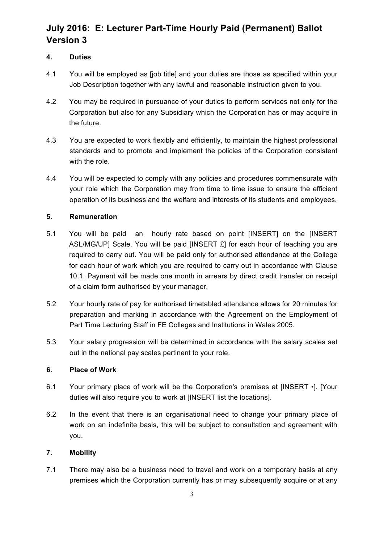## **4. Duties**

- 4.1 You will be employed as [job title] and your duties are those as specified within your Job Description together with any lawful and reasonable instruction given to you.
- 4.2 You may be required in pursuance of your duties to perform services not only for the Corporation but also for any Subsidiary which the Corporation has or may acquire in the future.
- 4.3 You are expected to work flexibly and efficiently, to maintain the highest professional standards and to promote and implement the policies of the Corporation consistent with the role.
- 4.4 You will be expected to comply with any policies and procedures commensurate with your role which the Corporation may from time to time issue to ensure the efficient operation of its business and the welfare and interests of its students and employees.

## **5. Remuneration**

- 5.1 You will be paid an hourly rate based on point [INSERT] on the [INSERT ASL/MG/UP] Scale. You will be paid [INSERT £] for each hour of teaching you are required to carry out. You will be paid only for authorised attendance at the College for each hour of work which you are required to carry out in accordance with Clause 10.1. Payment will be made one month in arrears by direct credit transfer on receipt of a claim form authorised by your manager.
- 5.2 Your hourly rate of pay for authorised timetabled attendance allows for 20 minutes for preparation and marking in accordance with the Agreement on the Employment of Part Time Lecturing Staff in FE Colleges and Institutions in Wales 2005.
- 5.3 Your salary progression will be determined in accordance with the salary scales set out in the national pay scales pertinent to your role.

### **6. Place of Work**

- 6.1 Your primary place of work will be the Corporation's premises at [INSERT •]. [Your duties will also require you to work at [INSERT list the locations].
- 6.2 In the event that there is an organisational need to change your primary place of work on an indefinite basis, this will be subject to consultation and agreement with you.

### **7. Mobility**

7.1 There may also be a business need to travel and work on a temporary basis at any premises which the Corporation currently has or may subsequently acquire or at any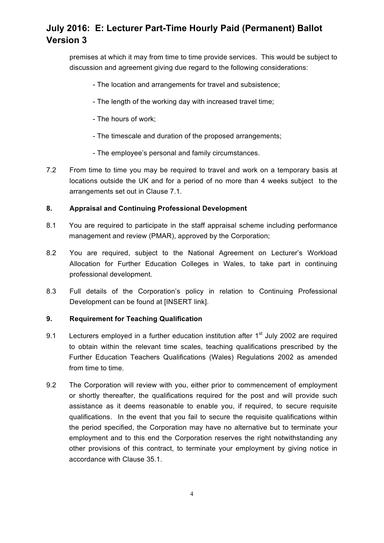premises at which it may from time to time provide services. This would be subject to discussion and agreement giving due regard to the following considerations:

- The location and arrangements for travel and subsistence;
- The length of the working day with increased travel time;
- The hours of work;
- The timescale and duration of the proposed arrangements;
- The employee's personal and family circumstances.
- 7.2 From time to time you may be required to travel and work on a temporary basis at locations outside the UK and for a period of no more than 4 weeks subject to the arrangements set out in Clause 7.1.

### **8. Appraisal and Continuing Professional Development**

- 8.1 You are required to participate in the staff appraisal scheme including performance management and review (PMAR), approved by the Corporation;
- 8.2 You are required, subject to the National Agreement on Lecturer's Workload Allocation for Further Education Colleges in Wales, to take part in continuing professional development.
- 8.3 Full details of the Corporation's policy in relation to Continuing Professional Development can be found at [INSERT link].

#### **9. Requirement for Teaching Qualification**

- 9.1 Lecturers employed in a further education institution after  $1<sup>st</sup>$  July 2002 are required to obtain within the relevant time scales, teaching qualifications prescribed by the Further Education Teachers Qualifications (Wales) Regulations 2002 as amended from time to time.
- 9.2 The Corporation will review with you, either prior to commencement of employment or shortly thereafter, the qualifications required for the post and will provide such assistance as it deems reasonable to enable you, if required, to secure requisite qualifications. In the event that you fail to secure the requisite qualifications within the period specified, the Corporation may have no alternative but to terminate your employment and to this end the Corporation reserves the right notwithstanding any other provisions of this contract, to terminate your employment by giving notice in accordance with Clause 35.1.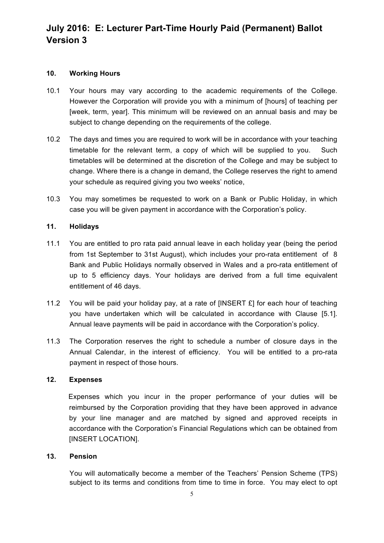#### **10. Working Hours**

- 10.1 Your hours may vary according to the academic requirements of the College. However the Corporation will provide you with a minimum of [hours] of teaching per [week, term, year]. This minimum will be reviewed on an annual basis and may be subject to change depending on the requirements of the college.
- 10.2 The days and times you are required to work will be in accordance with your teaching timetable for the relevant term, a copy of which will be supplied to you. Such timetables will be determined at the discretion of the College and may be subject to change. Where there is a change in demand, the College reserves the right to amend your schedule as required giving you two weeks' notice,
- 10.3 You may sometimes be requested to work on a Bank or Public Holiday, in which case you will be given payment in accordance with the Corporation's policy.

### **11. Holidays**

- 11.1 You are entitled to pro rata paid annual leave in each holiday year (being the period from 1st September to 31st August), which includes your pro-rata entitlement of 8 Bank and Public Holidays normally observed in Wales and a pro-rata entitlement of up to 5 efficiency days. Your holidays are derived from a full time equivalent entitlement of 46 days.
- 11.2 You will be paid your holiday pay, at a rate of [INSERT £] for each hour of teaching you have undertaken which will be calculated in accordance with Clause [5.1]. Annual leave payments will be paid in accordance with the Corporation's policy.
- 11.3 The Corporation reserves the right to schedule a number of closure days in the Annual Calendar, in the interest of efficiency. You will be entitled to a pro-rata payment in respect of those hours.

### **12. Expenses**

Expenses which you incur in the proper performance of your duties will be reimbursed by the Corporation providing that they have been approved in advance by your line manager and are matched by signed and approved receipts in accordance with the Corporation's Financial Regulations which can be obtained from [INSERT LOCATION].

#### **13. Pension**

You will automatically become a member of the Teachers' Pension Scheme (TPS) subject to its terms and conditions from time to time in force. You may elect to opt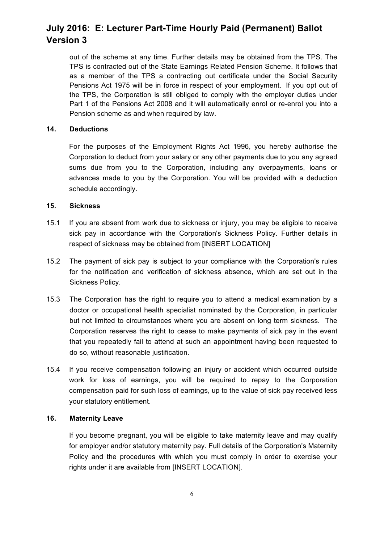out of the scheme at any time. Further details may be obtained from the TPS. The TPS is contracted out of the State Earnings Related Pension Scheme. It follows that as a member of the TPS a contracting out certificate under the Social Security Pensions Act 1975 will be in force in respect of your employment. If you opt out of the TPS, the Corporation is still obliged to comply with the employer duties under Part 1 of the Pensions Act 2008 and it will automatically enrol or re-enrol you into a Pension scheme as and when required by law.

### **14. Deductions**

For the purposes of the Employment Rights Act 1996, you hereby authorise the Corporation to deduct from your salary or any other payments due to you any agreed sums due from you to the Corporation, including any overpayments, loans or advances made to you by the Corporation. You will be provided with a deduction schedule accordingly.

### **15. Sickness**

- 15.1 If you are absent from work due to sickness or injury, you may be eligible to receive sick pay in accordance with the Corporation's Sickness Policy. Further details in respect of sickness may be obtained from [INSERT LOCATION]
- 15.2 The payment of sick pay is subject to your compliance with the Corporation's rules for the notification and verification of sickness absence, which are set out in the Sickness Policy.
- 15.3 The Corporation has the right to require you to attend a medical examination by a doctor or occupational health specialist nominated by the Corporation, in particular but not limited to circumstances where you are absent on long term sickness. The Corporation reserves the right to cease to make payments of sick pay in the event that you repeatedly fail to attend at such an appointment having been requested to do so, without reasonable justification.
- 15.4 If you receive compensation following an injury or accident which occurred outside work for loss of earnings, you will be required to repay to the Corporation compensation paid for such loss of earnings, up to the value of sick pay received less your statutory entitlement.

#### **16. Maternity Leave**

If you become pregnant, you will be eligible to take maternity leave and may qualify for employer and/or statutory maternity pay. Full details of the Corporation's Maternity Policy and the procedures with which you must comply in order to exercise your rights under it are available from [INSERT LOCATION].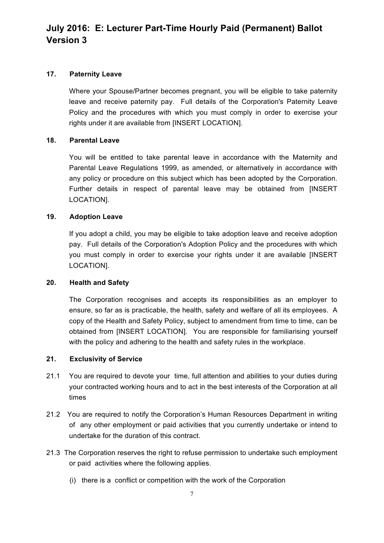### **17. Paternity Leave**

Where your Spouse/Partner becomes pregnant, you will be eligible to take paternity leave and receive paternity pay. Full details of the Corporation's Paternity Leave Policy and the procedures with which you must comply in order to exercise your rights under it are available from [INSERT LOCATION].

### **18. Parental Leave**

You will be entitled to take parental leave in accordance with the Maternity and Parental Leave Regulations 1999, as amended, or alternatively in accordance with any policy or procedure on this subject which has been adopted by the Corporation. Further details in respect of parental leave may be obtained from [INSERT LOCATION].

### **19. Adoption Leave**

If you adopt a child, you may be eligible to take adoption leave and receive adoption pay. Full details of the Corporation's Adoption Policy and the procedures with which you must comply in order to exercise your rights under it are available [INSERT LOCATION].

#### **20. Health and Safety**

The Corporation recognises and accepts its responsibilities as an employer to ensure, so far as is practicable, the health, safety and welfare of all its employees. A copy of the Health and Safety Policy, subject to amendment from time to time, can be obtained from [INSERT LOCATION]. You are responsible for familiarising yourself with the policy and adhering to the health and safety rules in the workplace.

#### **21. Exclusivity of Service**

- 21.1 You are required to devote your time, full attention and abilities to your duties during your contracted working hours and to act in the best interests of the Corporation at all times
- 21.2 You are required to notify the Corporation's Human Resources Department in writing of any other employment or paid activities that you currently undertake or intend to undertake for the duration of this contract.
- 21.3 The Corporation reserves the right to refuse permission to undertake such employment or paid activities where the following applies.
	- (i) there is a conflict or competition with the work of the Corporation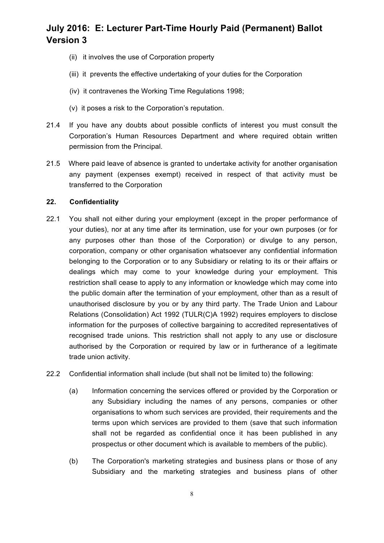- (ii) it involves the use of Corporation property
- (iii) it prevents the effective undertaking of your duties for the Corporation
- (iv) it contravenes the Working Time Regulations 1998;
- (v) it poses a risk to the Corporation's reputation.
- 21.4 If you have any doubts about possible conflicts of interest you must consult the Corporation's Human Resources Department and where required obtain written permission from the Principal.
- 21.5 Where paid leave of absence is granted to undertake activity for another organisation any payment (expenses exempt) received in respect of that activity must be transferred to the Corporation

### **22. Confidentiality**

- 22.1 You shall not either during your employment (except in the proper performance of your duties), nor at any time after its termination, use for your own purposes (or for any purposes other than those of the Corporation) or divulge to any person, corporation, company or other organisation whatsoever any confidential information belonging to the Corporation or to any Subsidiary or relating to its or their affairs or dealings which may come to your knowledge during your employment. This restriction shall cease to apply to any information or knowledge which may come into the public domain after the termination of your employment, other than as a result of unauthorised disclosure by you or by any third party. The Trade Union and Labour Relations (Consolidation) Act 1992 (TULR(C)A 1992) requires employers to disclose information for the purposes of collective bargaining to accredited representatives of recognised trade unions. This restriction shall not apply to any use or disclosure authorised by the Corporation or required by law or in furtherance of a legitimate trade union activity.
- 22.2 Confidential information shall include (but shall not be limited to) the following:
	- (a) Information concerning the services offered or provided by the Corporation or any Subsidiary including the names of any persons, companies or other organisations to whom such services are provided, their requirements and the terms upon which services are provided to them (save that such information shall not be regarded as confidential once it has been published in any prospectus or other document which is available to members of the public).
	- (b) The Corporation's marketing strategies and business plans or those of any Subsidiary and the marketing strategies and business plans of other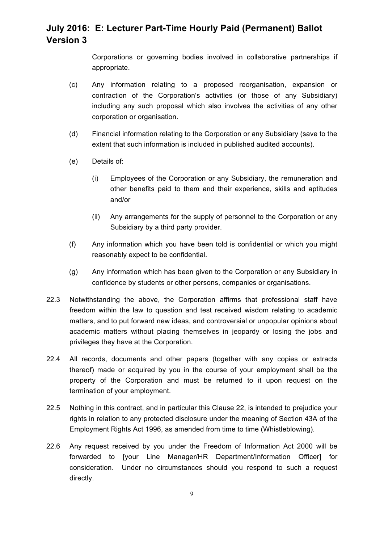Corporations or governing bodies involved in collaborative partnerships if appropriate.

- (c) Any information relating to a proposed reorganisation, expansion or contraction of the Corporation's activities (or those of any Subsidiary) including any such proposal which also involves the activities of any other corporation or organisation.
- (d) Financial information relating to the Corporation or any Subsidiary (save to the extent that such information is included in published audited accounts).
- (e) Details of:
	- (i) Employees of the Corporation or any Subsidiary, the remuneration and other benefits paid to them and their experience, skills and aptitudes and/or
	- (ii) Any arrangements for the supply of personnel to the Corporation or any Subsidiary by a third party provider.
- (f) Any information which you have been told is confidential or which you might reasonably expect to be confidential.
- (g) Any information which has been given to the Corporation or any Subsidiary in confidence by students or other persons, companies or organisations.
- 22.3 Notwithstanding the above, the Corporation affirms that professional staff have freedom within the law to question and test received wisdom relating to academic matters, and to put forward new ideas, and controversial or unpopular opinions about academic matters without placing themselves in jeopardy or losing the jobs and privileges they have at the Corporation.
- 22.4 All records, documents and other papers (together with any copies or extracts thereof) made or acquired by you in the course of your employment shall be the property of the Corporation and must be returned to it upon request on the termination of your employment.
- 22.5 Nothing in this contract, and in particular this Clause 22, is intended to prejudice your rights in relation to any protected disclosure under the meaning of Section 43A of the Employment Rights Act 1996, as amended from time to time (Whistleblowing).
- 22.6 Any request received by you under the Freedom of Information Act 2000 will be forwarded to [your Line Manager/HR Department/Information Officer] for consideration. Under no circumstances should you respond to such a request directly.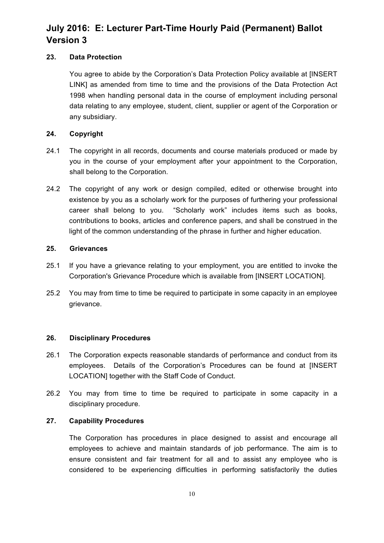### **23. Data Protection**

You agree to abide by the Corporation's Data Protection Policy available at [INSERT LINK] as amended from time to time and the provisions of the Data Protection Act 1998 when handling personal data in the course of employment including personal data relating to any employee, student, client, supplier or agent of the Corporation or any subsidiary.

## **24. Copyright**

- 24.1 The copyright in all records, documents and course materials produced or made by you in the course of your employment after your appointment to the Corporation, shall belong to the Corporation.
- 24.2 The copyright of any work or design compiled, edited or otherwise brought into existence by you as a scholarly work for the purposes of furthering your professional career shall belong to you. "Scholarly work" includes items such as books, contributions to books, articles and conference papers, and shall be construed in the light of the common understanding of the phrase in further and higher education.

### **25. Grievances**

- 25.1 If you have a grievance relating to your employment, you are entitled to invoke the Corporation's Grievance Procedure which is available from [INSERT LOCATION].
- 25.2 You may from time to time be required to participate in some capacity in an employee grievance.

### **26. Disciplinary Procedures**

- 26.1 The Corporation expects reasonable standards of performance and conduct from its employees. Details of the Corporation's Procedures can be found at [INSERT LOCATION] together with the Staff Code of Conduct.
- 26.2 You may from time to time be required to participate in some capacity in a disciplinary procedure.

## **27. Capability Procedures**

The Corporation has procedures in place designed to assist and encourage all employees to achieve and maintain standards of job performance. The aim is to ensure consistent and fair treatment for all and to assist any employee who is considered to be experiencing difficulties in performing satisfactorily the duties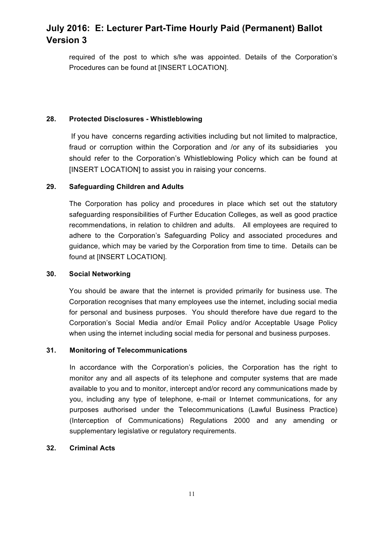required of the post to which s/he was appointed. Details of the Corporation's Procedures can be found at [INSERT LOCATION].

#### **28. Protected Disclosures - Whistleblowing**

If you have concerns regarding activities including but not limited to malpractice, fraud or corruption within the Corporation and /or any of its subsidiaries you should refer to the Corporation's Whistleblowing Policy which can be found at [INSERT LOCATION] to assist you in raising your concerns.

#### **29. Safeguarding Children and Adults**

The Corporation has policy and procedures in place which set out the statutory safeguarding responsibilities of Further Education Colleges, as well as good practice recommendations, in relation to children and adults. All employees are required to adhere to the Corporation's Safeguarding Policy and associated procedures and guidance, which may be varied by the Corporation from time to time. Details can be found at [INSERT LOCATION].

### **30. Social Networking**

You should be aware that the internet is provided primarily for business use. The Corporation recognises that many employees use the internet, including social media for personal and business purposes. You should therefore have due regard to the Corporation's Social Media and/or Email Policy and/or Acceptable Usage Policy when using the internet including social media for personal and business purposes.

### **31. Monitoring of Telecommunications**

In accordance with the Corporation's policies, the Corporation has the right to monitor any and all aspects of its telephone and computer systems that are made available to you and to monitor, intercept and/or record any communications made by you, including any type of telephone, e-mail or Internet communications, for any purposes authorised under the Telecommunications (Lawful Business Practice) (Interception of Communications) Regulations 2000 and any amending or supplementary legislative or regulatory requirements.

#### **32. Criminal Acts**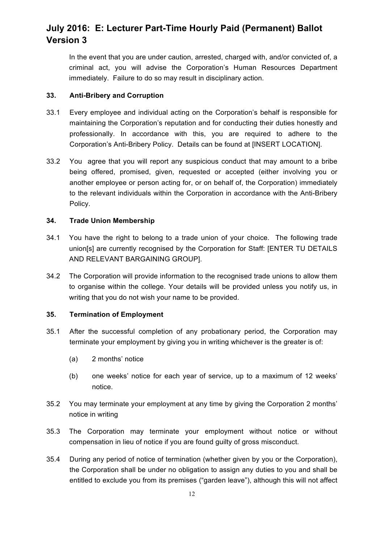In the event that you are under caution, arrested, charged with, and/or convicted of, a criminal act, you will advise the Corporation's Human Resources Department immediately. Failure to do so may result in disciplinary action.

#### **33. Anti-Bribery and Corruption**

- 33.1 Every employee and individual acting on the Corporation's behalf is responsible for maintaining the Corporation's reputation and for conducting their duties honestly and professionally. In accordance with this, you are required to adhere to the Corporation's Anti-Bribery Policy. Details can be found at [INSERT LOCATION].
- 33.2 You agree that you will report any suspicious conduct that may amount to a bribe being offered, promised, given, requested or accepted (either involving you or another employee or person acting for, or on behalf of, the Corporation) immediately to the relevant individuals within the Corporation in accordance with the Anti-Bribery Policy.

### **34. Trade Union Membership**

- 34.1 You have the right to belong to a trade union of your choice. The following trade union[s] are currently recognised by the Corporation for Staff: [ENTER TU DETAILS AND RELEVANT BARGAINING GROUP].
- 34.2 The Corporation will provide information to the recognised trade unions to allow them to organise within the college. Your details will be provided unless you notify us, in writing that you do not wish your name to be provided.

### **35. Termination of Employment**

- 35.1 After the successful completion of any probationary period, the Corporation may terminate your employment by giving you in writing whichever is the greater is of:
	- (a) 2 months' notice
	- (b) one weeks' notice for each year of service, up to a maximum of 12 weeks' notice.
- 35.2 You may terminate your employment at any time by giving the Corporation 2 months' notice in writing
- 35.3 The Corporation may terminate your employment without notice or without compensation in lieu of notice if you are found guilty of gross misconduct.
- 35.4 During any period of notice of termination (whether given by you or the Corporation), the Corporation shall be under no obligation to assign any duties to you and shall be entitled to exclude you from its premises ("garden leave"), although this will not affect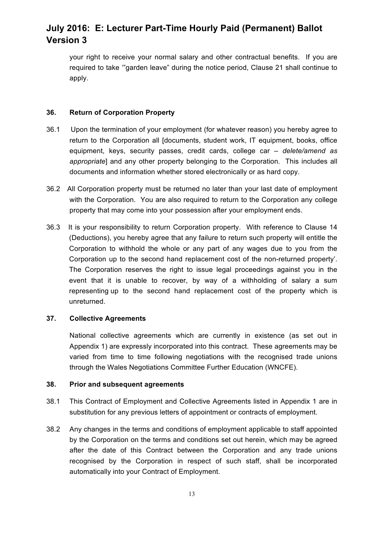your right to receive your normal salary and other contractual benefits. If you are required to take '"garden leave" during the notice period, Clause 21 shall continue to apply.

### **36. Return of Corporation Property**

- 36.1 Upon the termination of your employment (for whatever reason) you hereby agree to return to the Corporation all [documents, student work, IT equipment, books, office equipment, keys, security passes, credit cards, college car *– delete/amend as appropriate*] and any other property belonging to the Corporation. This includes all documents and information whether stored electronically or as hard copy.
- 36.2 All Corporation property must be returned no later than your last date of employment with the Corporation. You are also required to return to the Corporation any college property that may come into your possession after your employment ends.
- 36.3 It is your responsibility to return Corporation property. With reference to Clause 14 (Deductions), you hereby agree that any failure to return such property will entitle the Corporation to withhold the whole or any part of any wages due to you from the Corporation up to the second hand replacement cost of the non-returned property'. The Corporation reserves the right to issue legal proceedings against you in the event that it is unable to recover, by way of a withholding of salary a sum representing up to the second hand replacement cost of the property which is unreturned.

#### **37. Collective Agreements**

National collective agreements which are currently in existence (as set out in Appendix 1) are expressly incorporated into this contract. These agreements may be varied from time to time following negotiations with the recognised trade unions through the Wales Negotiations Committee Further Education (WNCFE).

### **38. Prior and subsequent agreements**

- 38.1 This Contract of Employment and Collective Agreements listed in Appendix 1 are in substitution for any previous letters of appointment or contracts of employment.
- 38.2 Any changes in the terms and conditions of employment applicable to staff appointed by the Corporation on the terms and conditions set out herein, which may be agreed after the date of this Contract between the Corporation and any trade unions recognised by the Corporation in respect of such staff, shall be incorporated automatically into your Contract of Employment.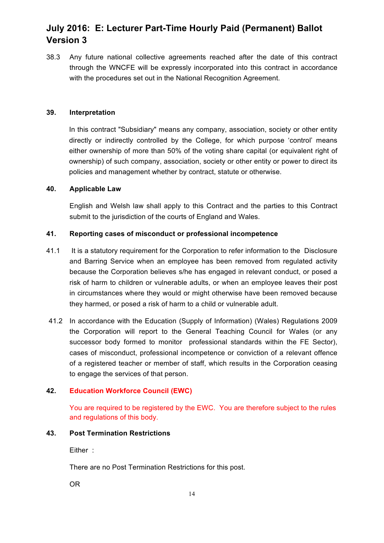38.3 Any future national collective agreements reached after the date of this contract through the WNCFE will be expressly incorporated into this contract in accordance with the procedures set out in the National Recognition Agreement.

### **39. Interpretation**

In this contract "Subsidiary" means any company, association, society or other entity directly or indirectly controlled by the College, for which purpose 'control' means either ownership of more than 50% of the voting share capital (or equivalent right of ownership) of such company, association, society or other entity or power to direct its policies and management whether by contract, statute or otherwise.

#### **40. Applicable Law**

English and Welsh law shall apply to this Contract and the parties to this Contract submit to the jurisdiction of the courts of England and Wales.

#### **41. Reporting cases of misconduct or professional incompetence**

- 41.1 It is a statutory requirement for the Corporation to refer information to the Disclosure and Barring Service when an employee has been removed from regulated activity because the Corporation believes s/he has engaged in relevant conduct, or posed a risk of harm to children or vulnerable adults, or when an employee leaves their post in circumstances where they would or might otherwise have been removed because they harmed, or posed a risk of harm to a child or vulnerable adult.
- 41.2 In accordance with the Education (Supply of Information) (Wales) Regulations 2009 the Corporation will report to the General Teaching Council for Wales (or any successor body formed to monitor professional standards within the FE Sector), cases of misconduct, professional incompetence or conviction of a relevant offence of a registered teacher or member of staff, which results in the Corporation ceasing to engage the services of that person.

#### **42. Education Workforce Council (EWC)**

You are required to be registered by the EWC. You are therefore subject to the rules and regulations of this body.

#### **43. Post Termination Restrictions**

Either :

There are no Post Termination Restrictions for this post.

OR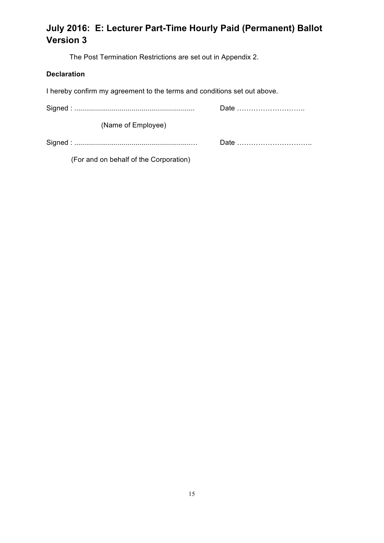The Post Termination Restrictions are set out in Appendix 2.

## **Declaration**

I hereby confirm my agreement to the terms and conditions set out above.

| (Name of Employee) |      |
|--------------------|------|
|                    | Date |

(For and on behalf of the Corporation)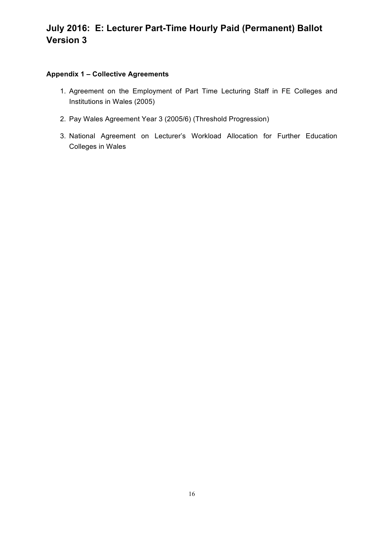## **Appendix 1 – Collective Agreements**

- 1. Agreement on the Employment of Part Time Lecturing Staff in FE Colleges and Institutions in Wales (2005)
- 2. Pay Wales Agreement Year 3 (2005/6) (Threshold Progression)
- 3. National Agreement on Lecturer's Workload Allocation for Further Education Colleges in Wales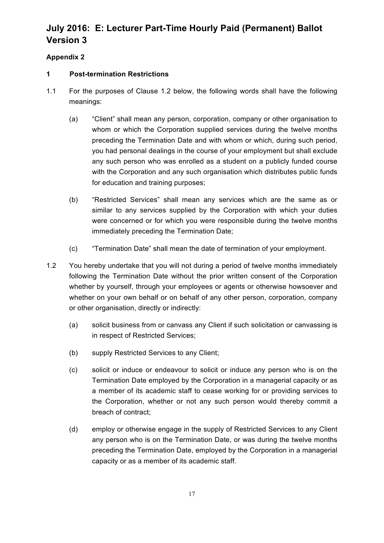## **Appendix 2**

## **1 Post-termination Restrictions**

- 1.1 For the purposes of Clause 1.2 below, the following words shall have the following meanings:
	- (a) "Client" shall mean any person, corporation, company or other organisation to whom or which the Corporation supplied services during the twelve months preceding the Termination Date and with whom or which, during such period, you had personal dealings in the course of your employment but shall exclude any such person who was enrolled as a student on a publicly funded course with the Corporation and any such organisation which distributes public funds for education and training purposes;
	- (b) "Restricted Services" shall mean any services which are the same as or similar to any services supplied by the Corporation with which your duties were concerned or for which you were responsible during the twelve months immediately preceding the Termination Date;
	- (c) "Termination Date" shall mean the date of termination of your employment.
- 1.2 You hereby undertake that you will not during a period of twelve months immediately following the Termination Date without the prior written consent of the Corporation whether by yourself, through your employees or agents or otherwise howsoever and whether on your own behalf or on behalf of any other person, corporation, company or other organisation, directly or indirectly:
	- (a) solicit business from or canvass any Client if such solicitation or canvassing is in respect of Restricted Services;
	- (b) supply Restricted Services to any Client;
	- (c) solicit or induce or endeavour to solicit or induce any person who is on the Termination Date employed by the Corporation in a managerial capacity or as a member of its academic staff to cease working for or providing services to the Corporation, whether or not any such person would thereby commit a breach of contract;
	- (d) employ or otherwise engage in the supply of Restricted Services to any Client any person who is on the Termination Date, or was during the twelve months preceding the Termination Date, employed by the Corporation in a managerial capacity or as a member of its academic staff.